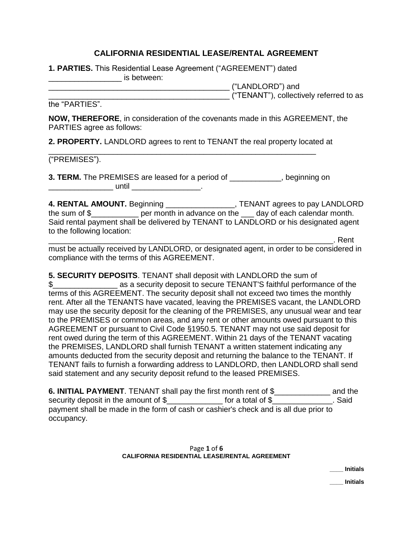# **CALIFORNIA RESIDENTIAL LEASE/RENTAL AGREEMENT**

**1. PARTIES.** This Residential Lease Agreement ("AGREEMENT") dated \_\_\_\_\_\_\_\_\_\_\_\_\_\_\_\_\_ is between:

\_\_\_\_\_\_\_\_\_\_\_\_\_\_\_\_\_\_\_\_\_\_\_\_\_\_\_\_\_\_\_\_\_\_\_\_\_\_\_\_\_\_ ("LANDLORD") and

\_\_\_\_\_\_\_\_\_\_\_\_\_\_\_\_\_\_\_\_\_\_\_\_\_\_\_\_\_\_\_\_\_\_\_\_\_\_\_\_\_\_ ("TENANT"), collectively referred to as

the "PARTIES".

**NOW, THEREFORE**, in consideration of the covenants made in this AGREEMENT, the PARTIES agree as follows:

**2. PROPERTY.** LANDLORD agrees to rent to TENANT the real property located at

\_\_\_\_\_\_\_\_\_\_\_\_\_\_\_\_\_\_\_\_\_\_\_\_\_\_\_\_\_\_\_\_\_\_\_\_\_\_\_\_\_\_\_\_\_\_\_\_\_\_\_\_\_\_\_\_\_\_\_\_\_\_

("PREMISES").

**3. TERM.** The PREMISES are leased for a period of the state of the period of the period of \_\_\_\_\_\_\_\_\_\_\_\_\_\_\_ until \_\_\_\_\_\_\_\_\_\_\_\_\_\_\_\_.

**4. RENTAL AMOUNT.** Beginning \_\_\_\_\_\_\_\_\_\_\_\_\_\_\_\_, TENANT agrees to pay LANDLORD the sum of \$\_\_\_\_\_\_\_\_\_\_\_ per month in advance on the \_\_\_ day of each calendar month. Said rental payment shall be delivered by TENANT to LANDLORD or his designated agent to the following location:

\_\_\_\_\_\_\_\_\_\_\_\_\_\_\_\_\_\_\_\_\_\_\_\_\_\_\_\_\_\_\_\_\_\_\_\_\_\_\_\_\_\_\_\_\_\_\_\_\_\_\_\_\_\_\_\_\_\_\_\_\_\_\_\_\_\_. Rent must be actually received by LANDLORD, or designated agent, in order to be considered in compliance with the terms of this AGREEMENT.

**5. SECURITY DEPOSITS**. TENANT shall deposit with LANDLORD the sum of \$\_\_\_\_\_\_\_\_\_\_\_\_\_\_\_ as a security deposit to secure TENANT'S faithful performance of the terms of this AGREEMENT. The security deposit shall not exceed two times the monthly rent. After all the TENANTS have vacated, leaving the PREMISES vacant, the LANDLORD may use the security deposit for the cleaning of the PREMISES, any unusual wear and tear to the PREMISES or common areas, and any rent or other amounts owed pursuant to this AGREEMENT or pursuant to Civil Code §1950.5. TENANT may not use said deposit for rent owed during the term of this AGREEMENT. Within 21 days of the TENANT vacating the PREMISES, LANDLORD shall furnish TENANT a written statement indicating any amounts deducted from the security deposit and returning the balance to the TENANT. If TENANT fails to furnish a forwarding address to LANDLORD, then LANDLORD shall send said statement and any security deposit refund to the leased PREMISES.

**6. INITIAL PAYMENT**. TENANT shall pay the first month rent of \$\_\_\_\_\_\_\_\_\_\_\_\_\_ and the security deposit in the amount of \$\_\_\_\_\_\_\_\_\_\_\_\_\_ for a total of \$\_\_\_\_\_\_\_\_\_\_\_\_\_. Said payment shall be made in the form of cash or cashier's check and is all due prior to occupancy.

### Page **1** of **6 CALIFORNIA RESIDENTIAL LEASE/RENTAL AGREEMENT**

**\_\_\_\_ Initials**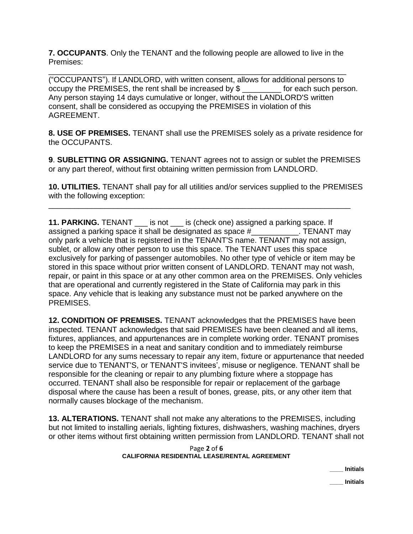**7. OCCUPANTS**. Only the TENANT and the following people are allowed to live in the Premises:

\_\_\_\_\_\_\_\_\_\_\_\_\_\_\_\_\_\_\_\_\_\_\_\_\_\_\_\_\_\_\_\_\_\_\_\_\_\_\_\_\_\_\_\_\_\_\_\_\_\_\_\_\_\_\_\_\_\_\_\_\_\_\_\_\_\_\_\_\_ ("OCCUPANTS"). If LANDLORD, with written consent, allows for additional persons to occupy the PREMISES, the rent shall be increased by  $\$$  for each such person. occupy the PREMISES, the rent shall be increased by  $\frac{1}{2}$ Any person staying 14 days cumulative or longer, without the LANDLORD'S written consent, shall be considered as occupying the PREMISES in violation of this AGREEMENT.

**8. USE OF PREMISES.** TENANT shall use the PREMISES solely as a private residence for the OCCUPANTS.

**9**. **SUBLETTING OR ASSIGNING.** TENANT agrees not to assign or sublet the PREMISES or any part thereof, without first obtaining written permission from LANDLORD.

**10. UTILITIES.** TENANT shall pay for all utilities and/or services supplied to the PREMISES with the following exception:

\_\_\_\_\_\_\_\_\_\_\_\_\_\_\_\_\_\_\_\_\_\_\_\_\_\_\_\_\_\_\_\_\_\_\_\_\_\_\_\_\_\_\_\_\_\_\_\_\_\_\_\_\_\_\_\_\_\_\_\_\_\_\_\_\_\_\_\_\_\_

**11. PARKING.** TENANT \_\_\_ is not \_\_\_ is (check one) assigned a parking space. If assigned a parking space it shall be designated as space # TENANT may only park a vehicle that is registered in the TENANT'S name. TENANT may not assign, sublet, or allow any other person to use this space. The TENANT uses this space exclusively for parking of passenger automobiles. No other type of vehicle or item may be stored in this space without prior written consent of LANDLORD. TENANT may not wash, repair, or paint in this space or at any other common area on the PREMISES. Only vehicles that are operational and currently registered in the State of California may park in this space. Any vehicle that is leaking any substance must not be parked anywhere on the PREMISES.

**12. CONDITION OF PREMISES.** TENANT acknowledges that the PREMISES have been inspected. TENANT acknowledges that said PREMISES have been cleaned and all items, fixtures, appliances, and appurtenances are in complete working order. TENANT promises to keep the PREMISES in a neat and sanitary condition and to immediately reimburse LANDLORD for any sums necessary to repair any item, fixture or appurtenance that needed service due to TENANT'S, or TENANT'S invitees', misuse or negligence. TENANT shall be responsible for the cleaning or repair to any plumbing fixture where a stoppage has occurred. TENANT shall also be responsible for repair or replacement of the garbage disposal where the cause has been a result of bones, grease, pits, or any other item that normally causes blockage of the mechanism.

**13. ALTERATIONS.** TENANT shall not make any alterations to the PREMISES, including but not limited to installing aerials, lighting fixtures, dishwashers, washing machines, dryers or other items without first obtaining written permission from LANDLORD. TENANT shall not

### Page **2** of **6 CALIFORNIA RESIDENTIAL LEASE/RENTAL AGREEMENT**

**\_\_\_\_ Initials**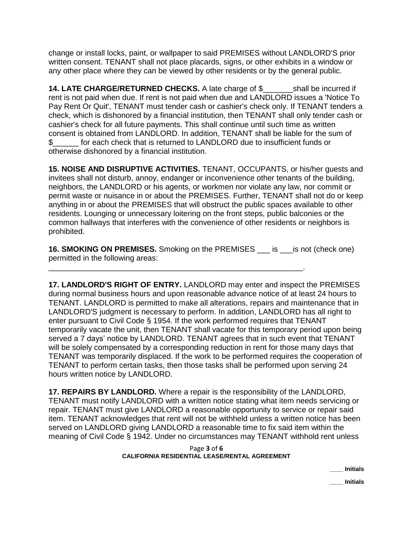change or install locks, paint, or wallpaper to said PREMISES without LANDLORD'S prior written consent. TENANT shall not place placards, signs, or other exhibits in a window or any other place where they can be viewed by other residents or by the general public.

**14. LATE CHARGE/RETURNED CHECKS.** A late charge of \$\_\_\_\_\_\_\_shall be incurred if rent is not paid when due. If rent is not paid when due and LANDLORD issues a 'Notice To Pay Rent Or Quit', TENANT must tender cash or cashier's check only. If TENANT tenders a check, which is dishonored by a financial institution, then TENANT shall only tender cash or cashier's check for all future payments. This shall continue until such time as written consent is obtained from LANDLORD. In addition, TENANT shall be liable for the sum of \$\_\_\_\_\_\_ for each check that is returned to LANDLORD due to insufficient funds or otherwise dishonored by a financial institution.

**15. NOISE AND DISRUPTIVE ACTIVITIES.** TENANT, OCCUPANTS, or his/her guests and invitees shall not disturb, annoy, endanger or inconvenience other tenants of the building, neighbors, the LANDLORD or his agents, or workmen nor violate any law, nor commit or permit waste or nuisance in or about the PREMISES. Further, TENANT shall not do or keep anything in or about the PREMISES that will obstruct the public spaces available to other residents. Lounging or unnecessary loitering on the front steps, public balconies or the common hallways that interferes with the convenience of other residents or neighbors is prohibited.

**16. SMOKING ON PREMISES.** Smoking on the PREMISES is is not (check one) permitted in the following areas:

\_\_\_\_\_\_\_\_\_\_\_\_\_\_\_\_\_\_\_\_\_\_\_\_\_\_\_\_\_\_\_\_\_\_\_\_\_\_\_\_\_\_\_\_\_\_\_\_\_\_\_\_\_\_\_\_\_\_\_.

**17. LANDLORD'S RIGHT OF ENTRY.** LANDLORD may enter and inspect the PREMISES during normal business hours and upon reasonable advance notice of at least 24 hours to TENANT. LANDLORD is permitted to make all alterations, repairs and maintenance that in LANDLORD'S judgment is necessary to perform. In addition, LANDLORD has all right to enter pursuant to Civil Code § 1954. If the work performed requires that TENANT temporarily vacate the unit, then TENANT shall vacate for this temporary period upon being served a 7 days' notice by LANDLORD. TENANT agrees that in such event that TENANT will be solely compensated by a corresponding reduction in rent for those many days that TENANT was temporarily displaced. If the work to be performed requires the cooperation of TENANT to perform certain tasks, then those tasks shall be performed upon serving 24 hours written notice by LANDLORD.

**17. REPAIRS BY LANDLORD.** Where a repair is the responsibility of the LANDLORD, TENANT must notify LANDLORD with a written notice stating what item needs servicing or repair. TENANT must give LANDLORD a reasonable opportunity to service or repair said item. TENANT acknowledges that rent will not be withheld unless a written notice has been served on LANDLORD giving LANDLORD a reasonable time to fix said item within the meaning of Civil Code § 1942. Under no circumstances may TENANT withhold rent unless

### Page **3** of **6 CALIFORNIA RESIDENTIAL LEASE/RENTAL AGREEMENT**

**\_\_\_\_ Initials**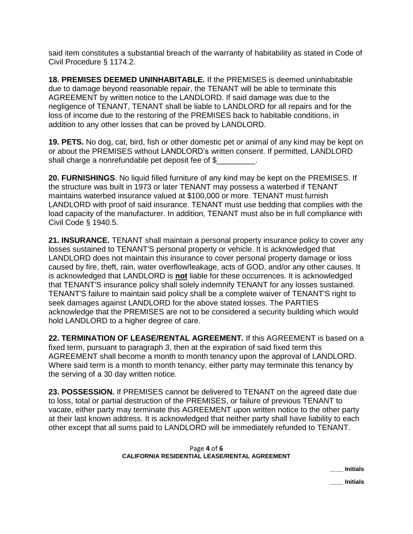said item constitutes a substantial breach of the warranty of habitability as stated in Code of Civil Procedure § 1174.2.

**18. PREMISES DEEMED UNINHABITABLE.** If the PREMISES is deemed uninhabitable due to damage beyond reasonable repair, the TENANT will be able to terminate this AGREEMENT by written notice to the LANDLORD. If said damage was due to the negligence of TENANT, TENANT shall be liable to LANDLORD for all repairs and for the loss of income due to the restoring of the PREMISES back to habitable conditions, in addition to any other losses that can be proved by LANDLORD.

**19. PETS.** No dog, cat, bird, fish or other domestic pet or animal of any kind may be kept on or about the PREMISES without LANDLORD's written consent. If permitted, LANDLORD shall charge a nonrefundable pet deposit fee of \$

**20. FURNISHINGS**. No liquid filled furniture of any kind may be kept on the PREMISES. If the structure was built in 1973 or later TENANT may possess a waterbed if TENANT maintains waterbed insurance valued at \$100,000 or more. TENANT must furnish LANDLORD with proof of said insurance. TENANT must use bedding that complies with the load capacity of the manufacturer. In addition, TENANT must also be in full compliance with Civil Code § 1940.5.

**21. INSURANCE.** TENANT shall maintain a personal property insurance policy to cover any losses sustained to TENANT'S personal property or vehicle. It is acknowledged that LANDLORD does not maintain this insurance to cover personal property damage or loss caused by fire, theft, rain, water overflow/leakage, acts of GOD, and/or any other causes. It is acknowledged that LANDLORD is **not** liable for these occurrences. It is acknowledged that TENANT'S insurance policy shall solely indemnify TENANT for any losses sustained. TENANT'S failure to maintain said policy shall be a complete waiver of TENANT'S right to seek damages against LANDLORD for the above stated losses. The PARTIES acknowledge that the PREMISES are not to be considered a security building which would hold LANDLORD to a higher degree of care.

**22. TERMINATION OF LEASE/RENTAL AGREEMENT.** If this AGREEMENT is based on a fixed term, pursuant to paragraph 3, then at the expiration of said fixed term this AGREEMENT shall become a month to month tenancy upon the approval of LANDLORD. Where said term is a month to month tenancy, either party may terminate this tenancy by the serving of a 30 day written notice.

**23. POSSESSION.** If PREMISES cannot be delivered to TENANT on the agreed date due to loss, total or partial destruction of the PREMISES, or failure of previous TENANT to vacate, either party may terminate this AGREEMENT upon written notice to the other party at their last known address. It is acknowledged that neither party shall have liability to each other except that all sums paid to LANDLORD will be immediately refunded to TENANT.

### Page **4** of **6 CALIFORNIA RESIDENTIAL LEASE/RENTAL AGREEMENT**

**\_\_\_\_ Initials**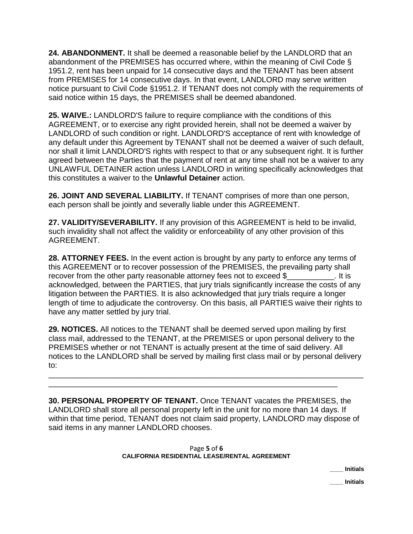**24. ABANDONMENT.** It shall be deemed a reasonable belief by the LANDLORD that an abandonment of the PREMISES has occurred where, within the meaning of Civil Code § 1951.2, rent has been unpaid for 14 consecutive days and the TENANT has been absent from PREMISES for 14 consecutive days. In that event, LANDLORD may serve written notice pursuant to Civil Code §1951.2. If TENANT does not comply with the requirements of said notice within 15 days, the PREMISES shall be deemed abandoned.

**25. WAIVE.:** LANDLORD'S failure to require compliance with the conditions of this AGREEMENT, or to exercise any right provided herein, shall not be deemed a waiver by LANDLORD of such condition or right. LANDLORD'S acceptance of rent with knowledge of any default under this Agreement by TENANT shall not be deemed a waiver of such default, nor shall it limit LANDLORD'S rights with respect to that or any subsequent right. It is further agreed between the Parties that the payment of rent at any time shall not be a waiver to any UNLAWFUL DETAINER action unless LANDLORD in writing specifically acknowledges that this constitutes a waiver to the **Unlawful Detainer** action.

**26. JOINT AND SEVERAL LIABILITY.** If TENANT comprises of more than one person, each person shall be jointly and severally liable under this AGREEMENT.

**27. VALIDITY/SEVERABILITY.** If any provision of this AGREEMENT is held to be invalid, such invalidity shall not affect the validity or enforceability of any other provision of this AGREEMENT.

**28. ATTORNEY FEES.** In the event action is brought by any party to enforce any terms of this AGREEMENT or to recover possession of the PREMISES, the prevailing party shall recover from the other party reasonable attorney fees not to exceed \$ acknowledged, between the PARTIES, that jury trials significantly increase the costs of any litigation between the PARTIES. It is also acknowledged that jury trials require a longer length of time to adjudicate the controversy. On this basis, all PARTIES waive their rights to have any matter settled by jury trial.

**29. NOTICES.** All notices to the TENANT shall be deemed served upon mailing by first class mail, addressed to the TENANT, at the PREMISES or upon personal delivery to the PREMISES whether or not TENANT is actually present at the time of said delivery. All notices to the LANDLORD shall be served by mailing first class mail or by personal delivery to:

\_\_\_\_\_\_\_\_\_\_\_\_\_\_\_\_\_\_\_\_\_\_\_\_\_\_\_\_\_\_\_\_\_\_\_\_\_\_\_\_\_\_\_\_\_\_\_\_\_\_\_\_\_\_\_\_\_\_\_\_\_\_\_\_\_\_\_\_\_\_\_\_\_

\_\_\_\_\_\_\_\_\_\_\_\_\_\_\_\_\_\_\_\_\_\_\_\_\_\_\_\_\_\_\_\_\_\_\_\_\_\_\_\_\_\_\_\_\_\_\_\_\_\_\_\_\_\_\_\_\_\_\_\_\_\_\_\_\_\_\_

**30. PERSONAL PROPERTY OF TENANT.** Once TENANT vacates the PREMISES, the LANDLORD shall store all personal property left in the unit for no more than 14 days. If within that time period, TENANT does not claim said property, LANDLORD may dispose of said items in any manner LANDLORD chooses.

## Page **5** of **6 CALIFORNIA RESIDENTIAL LEASE/RENTAL AGREEMENT**

**\_\_\_\_ Initials**